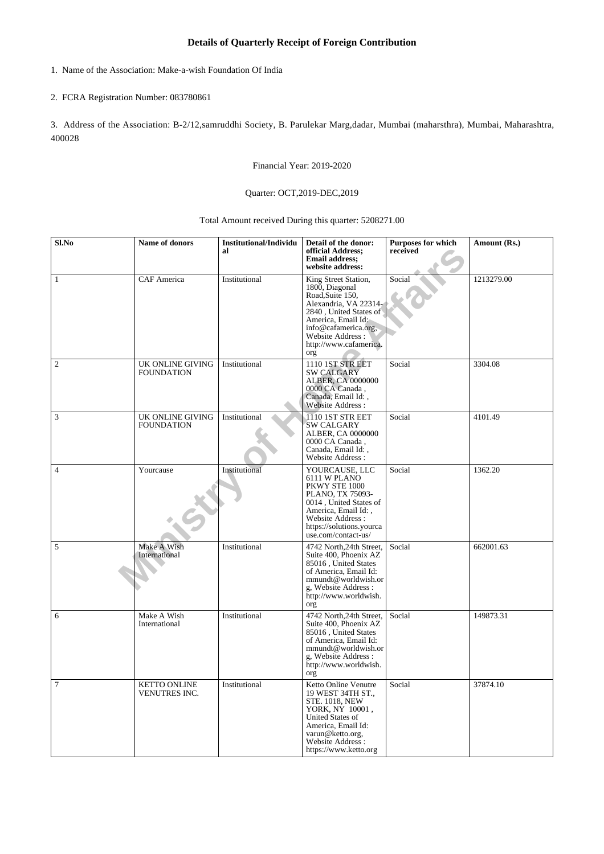## **Details of Quarterly Receipt of Foreign Contribution**

1. Name of the Association: Make-a-wish Foundation Of India

## 2. FCRA Registration Number: 083780861

3. Address of the Association: B-2/12,samruddhi Society, B. Parulekar Marg,dadar, Mumbai (maharsthra), Mumbai, Maharashtra, 400028

Financial Year: 2019-2020

## Quarter: OCT,2019-DEC,2019

Total Amount received During this quarter: 5208271.00

| Sl.No          | Name of donors                        | <b>Institutional/Individu</b><br>al | Detail of the donor:<br>official Address;<br><b>Email address;</b><br>website address:                                                                                                                          | Purposes for which<br>received | Amount (Rs.) |
|----------------|---------------------------------------|-------------------------------------|-----------------------------------------------------------------------------------------------------------------------------------------------------------------------------------------------------------------|--------------------------------|--------------|
| $\mathbf{1}$   | <b>CAF</b> America                    | Institutional                       | King Street Station,<br>1800, Diagonal<br>Road, Suite 150,<br>Alexandria, VA 22314<br>2840, United States of<br>America, Email Id:<br>info@cafamerica.org,<br>Website Address:<br>http://www.cafamerica.<br>org | Social                         | 1213279.00   |
| $\overline{2}$ | UK ONLINE GIVING<br><b>FOUNDATION</b> | Institutional                       | 1110 1ST STR EET<br><b>SW CALGARY</b><br>ALBER, CA 0000000<br>0000 CA Canada,<br>Canada, Email Id:,<br>Website Address:                                                                                         | Social                         | 3304.08      |
| 3              | UK ONLINE GIVING<br><b>FOUNDATION</b> | Institutional                       | 1110 1ST STR EET<br><b>SW CALGARY</b><br>ALBER, CA 0000000<br>0000 CA Canada,<br>Canada, Email Id:,<br>Website Address:                                                                                         | Social                         | 4101.49      |
| $\overline{4}$ | Yourcause                             | Institutional                       | YOURCAUSE, LLC<br>6111 W PLANO<br>PKWY STE 1000<br>PLANO, TX 75093-<br>0014, United States of<br>America, Email Id:,<br>Website Address:<br>https://solutions.yourca<br>use.com/contact-us/                     | Social                         | 1362.20      |
| $\sqrt{5}$     | Make A Wish<br>International          | Institutional                       | 4742 North, 24th Street,<br>Suite 400, Phoenix AZ<br>85016, United States<br>of America, Email Id:<br>mmundt@worldwish.or<br>g, Website Address:<br>http://www.worldwish.<br>org                                | Social                         | 662001.63    |
| 6              | Make A Wish<br>International          | Institutional                       | 4742 North, 24th Street,<br>Suite 400, Phoenix AZ<br>85016, United States<br>of America, Email Id:<br>mmundt@worldwish.or<br>g, Website Address:<br>http://www.worldwish.<br>org                                | Social                         | 149873.31    |
| $\overline{7}$ | <b>KETTO ONLINE</b><br>VENUTRES INC.  | Institutional                       | Ketto Online Venutre<br>19 WEST 34TH ST.,<br><b>STE. 1018, NEW</b><br>YORK, NY 10001,<br>United States of<br>America, Email Id:<br>varun@ketto.org,<br>Website Address:<br>https://www.ketto.org                | Social                         | 37874.10     |